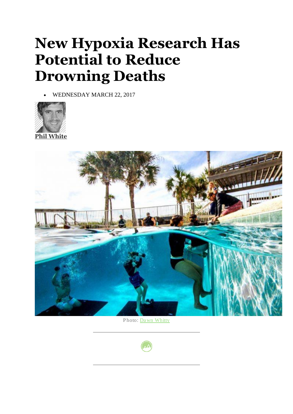## **New Hypoxia Research Has Potential to Reduce Drowning Deaths**

• WEDNESDAY MARCH 22, 2017





Photo: [Dawn Whitty](http://www.dawncwhitty.com/)

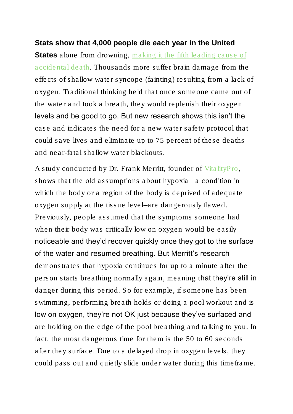## **Stats show that 4,000 people die each year in the United**

**States** alone from drowning, making it the fifth leading cause of [accidental death.](https://www.cdc.gov/homeandrecreationalsafety/water-safety/waterinjuries-factsheet.html) Thousands more suffer brain damage from the effects of shallow water syncope (fainting) resulting from a lack of oxygen. Traditional thinking held that once someone came out of the water and took a breath, they would replenish their oxygen levels and be good to go. But new research shows this isn't the case and indicates the need for a new water safety protocol that could save lives and eliminate up to 75 percent of these deaths and near-fatal shallow water blackouts.

A study conducted by Dr. Frank Merritt, founder of [VitalityPro,](http://www.myvitalitypro.com/) shows that the old assumptions about hypoxia– a condition in which the body or a region of the body is deprived of adequate oxygen supply at the tissue level–are dangerously flawed. Previously, people assumed that the symptoms someone had when their body was critically low on oxygen would be easily noticeable and they'd recover quickly once they got to the surface of the water and resumed breathing. But Merritt's research demonstrates that hypoxia continues for up to a minute after the person starts breathing normally again, meaning that they're still in danger during this period. So for example, if someone has been swimming, performing breath holds or doing a pool workout and is low on oxygen, they're not OK just because they've surfaced and are holding on the edge of the pool breathing and talking to you. In fact, the most dangerous time for them is the 50 to 60 seconds after they surface. Due to a delayed drop in oxygen levels, they could pass out and quietly slide under water during this timeframe.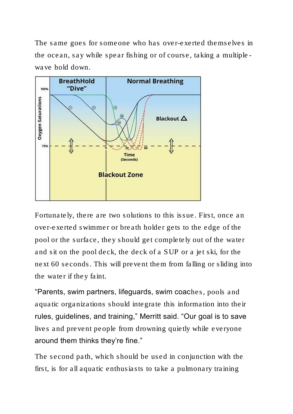The same goes for someone who has over-exerted themselves in the ocean, say while spear fishing or of course, taking a multiplewave hold down.



Fortunately, there are two solutions to this issue. First, once an over-exerted swimmer or breath holder gets to the edge of the pool or the surface, they should get completely out of the water and sit on the pool deck, the deck of a SUP or a jet ski, for the next 60 seconds. This will prevent them from falling or sliding into the water if they faint.

"Parents, swim partners, lifeguards, swim coaches, pools and aquatic organizations should integrate this information into their rules, guidelines, and training," Merritt said. "Our goal is to save lives and prevent people from drowning quietly while everyone around them thinks they're fine."

The second path, which should be used in conjunction with the first, is for all aquatic enthusiasts to take a pulmonary training